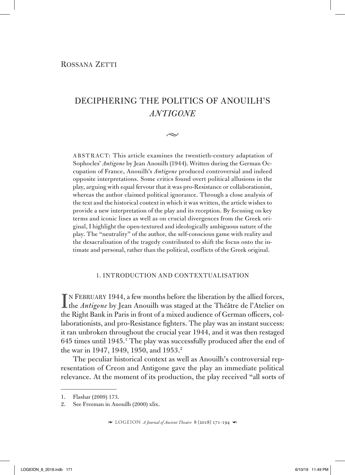# DECIPHERING THE POLITICS OF ANOUILH'S *ANTIGONE*

 $\sim$ 

ABSTRACT: This article examines the twentieth-century adaptation of Sophocles' *Antigone* by Jean Anouilh (1944). Written during the German Occupation of France, Anouilh's *Antigone* produced controversial and indeed opposite interpretations. Some critics found overt political allusions in the play, arguing with equal fervour that it was pro-Resistance or collaborationist, whereas the author claimed political ignorance. Through a close analysis of the text and the historical context in which it was written, the article wishes to provide a new interpretation of the play and its reception. By focusing on key terms and iconic lines as well as on crucial divergences from the Greek original, I highlight the open-textured and ideologically ambiguous nature of the play. The "neutrality" of the author, the self-conscious game with reality and the desacralisation of the tragedy contributed to shift the focus onto the intimate and personal, rather than the political, conflicts of the Greek original.

### 1. Introduction and contextualisation

IN FEBRUARY 1944, a few months before the liberation by the allied forces,<br>the *Antigone* by Jean Anouilh was staged at the Théâtre de l'Atelier on the *Antigone* by Jean Anouilh was staged at the Théâtre de l'Atelier on the Right Bank in Paris in front of a mixed audience of German officers, collaborationists, and pro-Resistance fighters. The play was an instant success: it ran unbroken throughout the crucial year 1944, and it was then restaged 645 times until 1945.1 The play was successfully produced after the end of the war in 1947, 1949, 1950, and 1953.<sup>2</sup>

The peculiar historical context as well as Anouilh's controversial representation of Creon and Antigone gave the play an immediate political relevance. At the moment of its production, the play received "all sorts of

<sup>1.</sup> Flashar (2009) 173.

<sup>2.</sup> See Freeman in Anouilh (2000) xlix.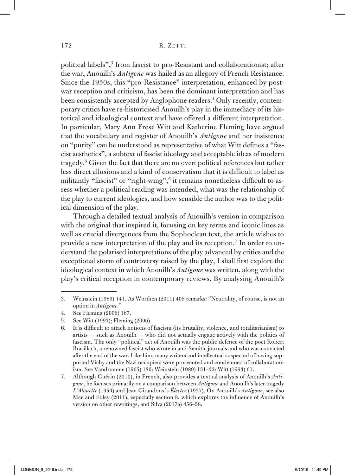political labels",3 from fascist to pro-Resistant and collaborationist; after the war, Anouilh's *Antigone* was hailed as an allegory of French Resistance. Since the 1950s, this "pro-Resistance" interpretation, enhanced by postwar reception and criticism, has been the dominant interpretation and has been consistently accepted by Anglophone readers.<sup>4</sup> Only recently, contemporary critics have re-historicised Anouilh's play in the immediacy of its historical and ideological context and have offered a different interpretation. In particular, Mary Ann Frese Witt and Katherine Fleming have argued that the vocabulary and register of Anouilh's *Antigone* and her insistence on "purity" can be understood as representative of what Witt defines a "fascist aesthetics", a subtext of fascist ideology and acceptable ideas of modern tragedy.5 Given the fact that there are no overt political references but rather less direct allusions and a kind of conservatism that it is difficult to label as militantly "fascist" or "right-wing",6 it remains nonetheless difficult to assess whether a political reading was intended, what was the relationship of the play to current ideologies, and how sensible the author was to the political dimension of the play.

Through a detailed textual analysis of Anouilh's version in comparison with the original that inspired it, focusing on key terms and iconic lines as well as crucial divergences from the Sophoclean text, the article wishes to provide a new interpretation of the play and its reception.<sup>7</sup> In order to understand the polarised interpretations of the play advanced by critics and the exceptional storm of controversy raised by the play, I shall first explore the ideological context in which Anouilh's *Antigone* was written, along with the play's critical reception in contemporary reviews. By analysing Anouilh's

<sup>3.</sup> Weinstein (1989) 141. As Worthen (2011) 408 remarks: "Neutrality, of course, is not an option in *Antigone*."

<sup>4.</sup> See Fleming (2006) 167.

<sup>5.</sup> See Witt (1993); Fleming (2006).

<sup>6.</sup> It is difficult to attach notions of fascism (its brutality, violence, and totalitarianism) to artists — such as Anouilh — who did not actually engage actively with the politics of fascism. The only "political" act of Anouilh was the public defence of the poet Robert Brasillach, a renowned fascist who wrote in anti-Semitic journals and who was convicted after the end of the war. Like him, many writers and intellectual suspected of having supported Vichy and the Nazi occupiers were prosecuted and condemned of collaborationism. See Vandromme (1965) 180; Weinstein (1989) 131–32; Witt (1993) 61.

<sup>7.</sup> Although Guérin (2010), in French, also provides a textual analysis of Anouilh's *Antigone*, he focuses primarily on a comparison between *Antigone* and Anouilh's later tragedy *L'Alouette* (1953) and Jean Giraudoux's *Électre* (1937). On Anouilh's *Antigone*, see also Mee and Foley (2011), especially section 8, which explores the influence of Anouilh's version on other rewritings, and Silva (2017a) 456–58.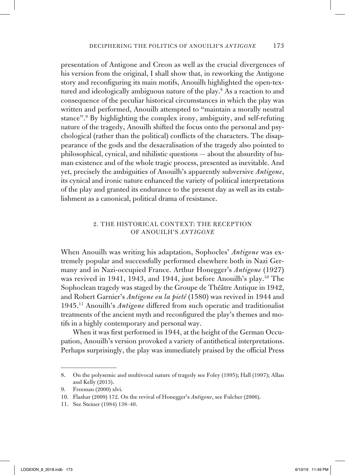presentation of Antigone and Creon as well as the crucial divergences of his version from the original, I shall show that, in reworking the Antigone story and reconfiguring its main motifs, Anouilh highlighted the open-textured and ideologically ambiguous nature of the play.<sup>8</sup> As a reaction to and consequence of the peculiar historical circumstances in which the play was written and performed, Anouilh attempted to "maintain a morally neutral stance".9 By highlighting the complex irony, ambiguity, and self-refuting nature of the tragedy, Anouilh shifted the focus onto the personal and psychological (rather than the political) conflicts of the characters. The disappearance of the gods and the desacralisation of the tragedy also pointed to philosophical, cynical, and nihilistic questions — about the absurdity of human existence and of the whole tragic process, presented as inevitable. And yet, precisely the ambiguities of Anouilh's apparently subversive *Antigone*, its cynical and ironic nature enhanced the variety of political interpretations of the play and granted its endurance to the present day as well as its establishment as a canonical, political drama of resistance.

## 2. The historical context: the reception of Anouilh's *Antigone*

When Anouilh was writing his adaptation, Sophocles' *Antigone* was extremely popular and successfully performed elsewhere both in Nazi Germany and in Nazi-occupied France. Arthur Honegger's *Antigone* (1927) was revived in 1941, 1943, and 1944, just before Anouilh's play.10 The Sophoclean tragedy was staged by the Groupe de Théâtre Antique in 1942, and Robert Garnier's *Antigone ou la pieté* (1580) was revived in 1944 and 1945.11 Anouilh's *Antigone* differed from such operatic and traditionalist treatments of the ancient myth and reconfigured the play's themes and motifs in a highly contemporary and personal way.

When it was first performed in 1944, at the height of the German Occupation, Anouilh's version provoked a variety of antithetical interpretations. Perhaps surprisingly, the play was immediately praised by the official Press

<sup>8.</sup> On the polysemic and multivocal nature of tragedy see Foley (1995); Hall (1997); Allan and Kelly (2013).

<sup>9.</sup> Freeman (2000) xlvi.

<sup>10.</sup> Flashar (2009) 172. On the revival of Honegger's *Antigone*, see Fulcher (2006).

<sup>11.</sup> See Steiner (1984) 138–40.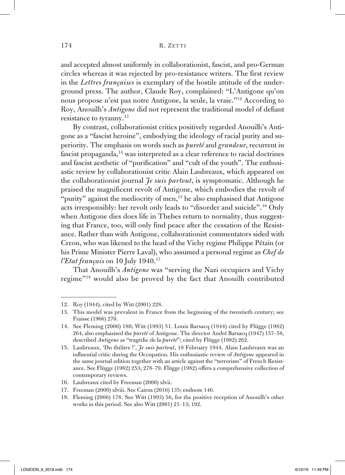and accepted almost uniformly in collaborationist, fascist, and pro-German circles whereas it was rejected by pro-resistance writers. The first review in the *Lettres françaises* is exemplary of the hostile attitude of the underground press. The author, Claude Roy, complained: "L'Antigone qu'on nous propose n'est pas notre Antigone, la seule, la vraie."12 According to Roy, Anouilh's *Antigone* did not represent the traditional model of defiant resistance to tyranny.<sup>13</sup>

By contrast, collaborationist critics positively regarded Anouilh's Antigone as a "fascist heroine", embodying the ideology of racial purity and superiority. The emphasis on words such as *pureté* and *grandeur*, recurrent in fascist propaganda,<sup>14</sup> was interpreted as a clear reference to racial doctrines and fascist aesthetic of "purification" and "cult of the youth". The enthusiastic review by collaborationist critic Alain Laubreaux, which appeared on the collaborationist journal *Je suis partout*, is symptomatic. Although he praised the magnificent revolt of Antigone, which embodies the revolt of "purity" against the mediocrity of men,<sup>15</sup> he also emphasised that Antigone acts irresponsibly: her revolt only leads to "disorder and suicide".16 Only when Antigone dies does life in Thebes return to normality, thus suggesting that France, too, will only find peace after the cessation of the Resistance. Rather than with Antigone, collaborationist commentators sided with Creon, who was likened to the head of the Vichy regime Philippe Pétain (or his Prime Minister Pierre Laval), who assumed a personal regime as *Chef de l'Etat français* on 10 July 1940.<sup>17</sup>

That Anouilh's *Antigone* was "serving the Nazi occupiers and Vichy regime"18 would also be proved by the fact that Anouilh contributed

<sup>12.</sup> Roy (1944), cited by Witt (2001) 228.

<sup>13.</sup> This model was prevalent in France from the beginning of the twentieth century; see Fraisse (1966) 270.

<sup>14.</sup> See Fleming (2006) 180; Witt (1993) 51. Louis Barsacq (1944) cited by Flügge (1982) 264, also emphasised the *pureté* of Antigone. The director André Barsacq (1947) 157–58, described *Antigone* as "tragédie de la *pureté*"; cited by Flügge (1982) 262.

<sup>15.</sup> Laubreaux, 'Du théâtre !', *Je suis partout*, 18 February 1944. Alain Laubreaux was an influential critic during the Occupation. His enthusiastic review of *Antigone* appeared in the same journal edition together with an article against the "terrorism" of French Resistance. See Flügge (1982) 253; 278–79. Flügge (1982) offers a comprehensive collection of contemporary reviews.

<sup>16.</sup> Laubreaux cited by Freeman (2000) xlvii.

<sup>17.</sup> Freeman (2000) xlviii. See Cairns (2016) 135; endnote 146.

<sup>18.</sup> Fleming (2006) 178. See Witt (1993) 56, for the positive reception of Anouilh's other works in this period. See also Witt (2001) 21–13; 192.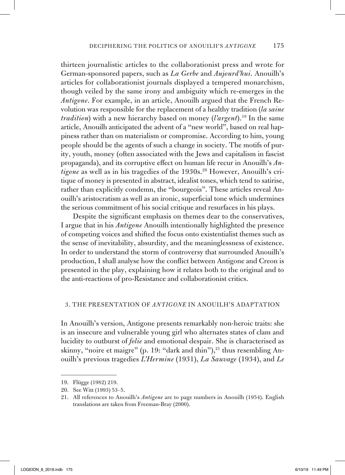thirteen journalistic articles to the collaborationist press and wrote for German-sponsored papers, such as *La Gerbe* and *Aujourd'hui*. Anouilh's articles for collaborationist journals displayed a tempered monarchism, though veiled by the same irony and ambiguity which re-emerges in the *Antigone*. For example, in an article, Anouilh argued that the French Revolution was responsible for the replacement of a healthy tradition (*la saine tradition*) with a new hierarchy based on money (*l'argent*).<sup>19</sup> In the same article, Anouilh anticipated the advent of a "new world", based on real happiness rather than on materialism or compromise. According to him, young people should be the agents of such a change in society. The motifs of purity, youth, money (often associated with the Jews and capitalism in fascist propaganda), and its corruptive effect on human life recur in Anouilh's *Antigone* as well as in his tragedies of the 1930s.<sup>20</sup> However, Anouilh's critique of money is presented in abstract, idealist tones, which tend to satirise, rather than explicitly condemn, the "bourgeois". These articles reveal Anouilh's aristocratism as well as an ironic, superficial tone which undermines the serious commitment of his social critique and resurfaces in his plays.

Despite the significant emphasis on themes dear to the conservatives, I argue that in his *Antigone* Anouilh intentionally highlighted the presence of competing voices and shifted the focus onto existentialist themes such as the sense of inevitability, absurdity, and the meaninglessness of existence. In order to understand the storm of controversy that surrounded Anouilh's production, I shall analyse how the conflict between Antigone and Creon is presented in the play, explaining how it relates both to the original and to the anti-reactions of pro-Resistance and collaborationist critics.

#### 3. The presentation of *Antigone* in Anouilh's adaptation

In Anouilh's version, Antigone presents remarkably non-heroic traits: she is an insecure and vulnerable young girl who alternates states of clam and lucidity to outburst of *folie* and emotional despair. She is characterised as skinny, "noire et maigre" (p. 19: "dark and thin"), $2<sup>1</sup>$  thus resembling Anouilh's previous tragedies *L'Hermine* (1931), *La Sauvage* (1934), and *Le* 

<sup>19.</sup> Flügge (1982) 219.

<sup>20.</sup> See Witt (1993) 53–5.

<sup>21.</sup> All references to Anouilh's *Antigone* are to page numbers in Anouilh (1954). English translations are taken from Freeman-Bray (2000).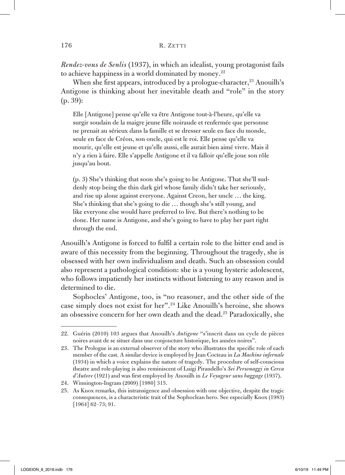*Rendez-vous de Senlis* (1937), in which an idealist, young protagonist fails to achieve happiness in a world dominated by money.<sup>22</sup>

When she first appears, introduced by a prologue-character,<sup>23</sup> Anouilh's Antigone is thinking about her inevitable death and "role" in the story (p. 39):

Elle [Antigone] pense qu'elle va être Antigone tout-à-l'heure, qu'elle va surgir soudain de la maigre jeune fille noiraude et renfermée que personne ne prenait au sérieux dans la famille et se dresser seule en face du monde, seule en face de Créon, son oncle, qui est le roi. Elle pense qu'elle va mourir, qu'elle est jeune et qu'elle aussi, elle aurait bien aimé vivre. Mais il n'y a rien à faire. Elle s'appelle Antigone et il va falloir qu'elle joue son rôle jusqu'au bout.

(p. 3) She's thinking that soon she's going to be Antigone. That she'll suddenly stop being the thin dark girl whose family didn't take her seriously, and rise up alone against everyone. Against Creon, her uncle … the king. She's thinking that she's going to die … though she's still young, and like everyone else would have preferred to live. But there's nothing to be done. Her name is Antigone, and she's going to have to play her part right through the end.

Anouilh's Antigone is forced to fulfil a certain role to the bitter end and is aware of this necessity from the beginning. Throughout the tragedy, she is obsessed with her own individualism and death. Such an obsession could also represent a pathological condition: she is a young hysteric adolescent, who follows impatiently her instincts without listening to any reason and is determined to die.

Sophocles' Antigone, too, is "no reasoner, and the other side of the case simply does not exist for her".24 Like Anouilh's heroine, she shows an obsessive concern for her own death and the dead.25 Paradoxically, she

<sup>22.</sup> Guérin (2010) 103 argues that Anouilh's *Antigone* "s'inscrit dans un cycle de pièces noires avant de se situer dans une conjoncture historique, les années noires".

<sup>23.</sup> The Prologue is an external observer of the story who illustrates the specific role of each member of the cast. A similar device is employed by Jean Cocteau in *La Machine infernale* (1934) in which a voice explains the nature of tragedy. The procedure of self-conscious theatre and role-playing is also reminiscent of Luigi Pirandello's *Sei Personaggi in Cerca d'Autore* (1921) and was first employed by Anouilh in *Le Voyageur sans baggage* (1937).

<sup>24.</sup> Winnington-Ingram (2009) [1980] 315.

<sup>25.</sup> As Knox remarks, this intransigence and obsession with one objective, despite the tragic consequences, is a characteristic trait of the Sophoclean hero. See especially Knox (1983) [1964] 62–73; 91.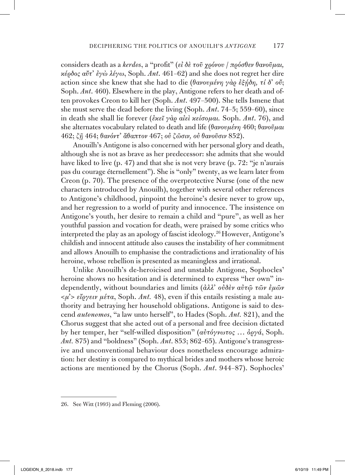considers death as a *kerdos*, a "profit" (*εἰ δὲ τοῦ χρόνου* / *πρόσθεν θανοῦμαι, κέρδος αὔτ᾿ ἐγὼ λέγω*, Soph. *Ant*. 461–62) and she does not regret her dire action since she knew that she had to die (*θανουμένη γὰρ ἐξῄδη, τί δ᾿ οὔ*; Soph. *Ant*. 460). Elsewhere in the play, Antigone refers to her death and often provokes Creon to kill her (Soph. *Ant*. 497–500). She tells Ismene that she must serve the dead before the living (Soph. *Ant*. 74–5; 559–60), since in death she shall lie forever (*ἐκεῖ γὰρ αἰεὶ κείσομαι.* Soph. *Ant*. 76), and she alternates vocabulary related to death and life (*θανουμένη* 460; *θανοῦμαι* 462; *ζῇ* 464; *θανόντ᾿ ἄθαπτον* 467; *οὐ ζῶσιν, οὐ θανοῦσιν* 852).

Anouilh's Antigone is also concerned with her personal glory and death, although she is not as brave as her predecessor: she admits that she would have liked to live (p. 47) and that she is not very brave (p. 72: "je n'aurais pas du courage éternellement"). She is "only" twenty, as we learn later from Creon (p. 70). The presence of the overprotective Nurse (one of the new characters introduced by Anouilh), together with several other references to Antigone's childhood, pinpoint the heroine's desire never to grow up, and her regression to a world of purity and innocence. The insistence on Antigone's youth, her desire to remain a child and "pure", as well as her youthful passion and vocation for death, were praised by some critics who interpreted the play as an apology of fascist ideology.<sup>26</sup> However, Antigone's childish and innocent attitude also causes the instability of her commitment and allows Anouilh to emphasise the contradictions and irrationality of his heroine, whose rebellion is presented as meaningless and irrational.

Unlike Anouilh's de-heroicised and unstable Antigone, Sophocles' heroine shows no hesitation and is determined to express "her own" independently, without boundaries and limits (*ἀλλ᾿ οὐδὲν αὐτῷ τῶν ἐμῶν*  <*μ᾿*> *εἴργειν μέτα*, Soph. *Ant.* 48), even if this entails resisting a male authority and betraying her household obligations. Antigone is said to descend *autonomos*, "a law unto herself", to Hades (Soph. *Ant.* 821), and the Chorus suggest that she acted out of a personal and free decision dictated by her temper, her "self-willed disposition" (*αὐτόγνωτος* … *ὀργά*, Soph. *Ant.* 875) and "boldness" (Soph. *Ant*. 853; 862–65). Antigone's transgressive and unconventional behaviour does nonetheless encourage admiration: her destiny is compared to mythical brides and mothers whose heroic actions are mentioned by the Chorus (Soph. *Ant*. 944–87). Sophocles'

<sup>26.</sup> See Witt (1993) and Fleming (2006).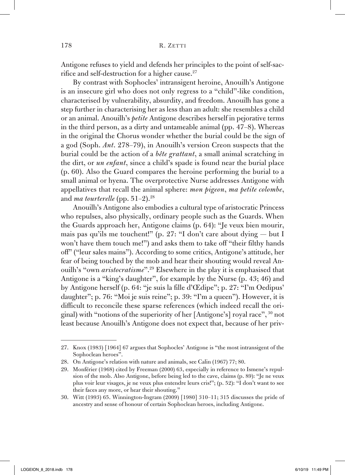Antigone refuses to yield and defends her principles to the point of self-sacrifice and self-destruction for a higher cause.<sup>27</sup>

By contrast with Sophocles' intransigent heroine, Anouilh's Antigone is an insecure girl who does not only regress to a "child"-like condition, characterised by vulnerability, absurdity, and freedom. Anouilh has gone a step further in characterising her as less than an adult: she resembles a child or an animal. Anouilh's *petite* Antigone describes herself in pejorative terms in the third person, as a dirty and untameable animal (pp. 47–8). Whereas in the original the Chorus wonder whether the burial could be the sign of a god (Soph. *Ant*. 278–79), in Anouilh's version Creon suspects that the burial could be the action of a *bête grattant*, a small animal scratching in the dirt, or *un enfant*, since a child's spade is found near the burial place (p. 60). Also the Guard compares the heroine performing the burial to a small animal or hyena. The overprotective Nurse addresses Antigone with appellatives that recall the animal sphere: *mon pigeon*, *ma petite colombe*, and *ma tourterelle* (pp. 51–2).<sup>28</sup>

Anouilh's Antigone also embodies a cultural type of aristocratic Princess who repulses, also physically, ordinary people such as the Guards. When the Guards approach her, Antigone claims (p. 64): "Je veux bien mourir, mais pas qu'ils me touchent!" (p. 27: "I don't care about dying — but I won't have them touch me!") and asks them to take off "their filthy hands off" ("leur sales mains"). According to some critics, Antigone's attitude, her fear of being touched by the mob and hear their shouting would reveal Anouilh's "own *aristocratisme*".29 Elsewhere in the play it is emphasised that Antigone is a "king's daughter", for example by the Nurse (p. 43; 46) and by Antigone herself (p. 64: "je suis la fille d'Œdipe"; p. 27: "I'm Oedipus' daughter"; p. 76: "Moi je suis reine"; p. 39: "I'm a queen"). However, it is difficult to reconcile these sparse references (which indeed recall the original) with "notions of the superiority of her [Antigone's] royal race", 30 not least because Anouilh's Antigone does not expect that, because of her priv-

<sup>27.</sup> Knox (1983) [1964] 67 argues that Sophocles' Antigone is "the most intransigent of the Sophoclean heroes".

<sup>28.</sup> On Antigone's relation with nature and animals, see Calin (1967) 77; 80.

<sup>29.</sup> Monférier (1968) cited by Freeman (2000) 63, especially in reference to Ismene's repulsion of the mob. Also Antigone, before being led to the cave, claims (p. 89): "Je ne veux plus voir leur visages, je ne veux plus entendre leurs cris!"; (p. 52): "I don't want to see their faces any more, or hear their shouting."

<sup>30.</sup> Witt (1993) 65. Winnington-Ingram (2009) [1980] 310–11; 315 discusses the pride of ancestry and sense of honour of certain Sophoclean heroes, including Antigone.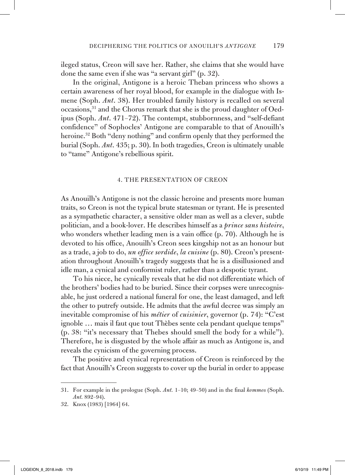ileged status, Creon will save her. Rather, she claims that she would have done the same even if she was "a servant girl" (p. 32).

In the original, Antigone is a heroic Theban princess who shows a certain awareness of her royal blood, for example in the dialogue with Ismene (Soph. *Ant*. 38). Her troubled family history is recalled on several occasions,31 and the Chorus remark that she is the proud daughter of Oedipus (Soph. *Ant*. 471–72). The contempt, stubbornness, and "self-defiant confidence" of Sophocles' Antigone are comparable to that of Anouilh's heroine.<sup>32</sup> Both "deny nothing" and confirm openly that they performed the burial (Soph. *Ant*. 435; p. 30). In both tragedies, Creon is ultimately unable to "tame" Antigone's rebellious spirit.

#### 4. The presentation of Creon

As Anouilh's Antigone is not the classic heroine and presents more human traits, so Creon is not the typical brute statesman or tyrant. He is presented as a sympathetic character, a sensitive older man as well as a clever, subtle politician, and a book-lover. He describes himself as a *prince sans histoire*, who wonders whether leading men is a vain office (p. 70). Although he is devoted to his office, Anouilh's Creon sees kingship not as an honour but as a trade, a job to do, *un office sordide*, *la cuisine* (p. 80). Creon's presentation throughout Anouilh's tragedy suggests that he is a disillusioned and idle man, a cynical and conformist ruler, rather than a despotic tyrant.

To his niece, he cynically reveals that he did not differentiate which of the brothers' bodies had to be buried. Since their corpses were unrecognisable, he just ordered a national funeral for one, the least damaged, and left the other to putrefy outside. He admits that the awful decree was simply an inevitable compromise of his *métier* of *cuisinier*, governor (p. 74): "C'est ignoble … mais il faut que tout Thèbes sente cela pendant quelque temps" (p. 38: "it's necessary that Thebes should smell the body for a while"). Therefore, he is disgusted by the whole affair as much as Antigone is, and reveals the cynicism of the governing process.

The positive and cynical representation of Creon is reinforced by the fact that Anouilh's Creon suggests to cover up the burial in order to appease

<sup>31.</sup> For example in the prologue (Soph. *Ant.* 1–10; 49–50) and in the final *kommos* (Soph. *Ant.* 892–94).

<sup>32.</sup> Knox (1983) [1964] 64.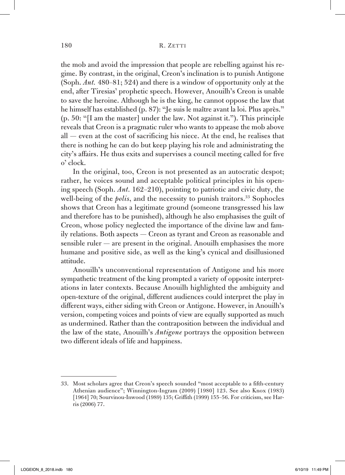the mob and avoid the impression that people are rebelling against his regime. By contrast, in the original, Creon's inclination is to punish Antigone (Soph. *Ant.* 480–81; 524) and there is a window of opportunity only at the end, after Tiresias' prophetic speech. However, Anouilh's Creon is unable to save the heroine. Although he is the king, he cannot oppose the law that he himself has established (p. 87): "Je suis le maître avant la loi. Plus après." (p. 50: "[I am the master] under the law. Not against it."). This principle reveals that Creon is a pragmatic ruler who wants to appease the mob above all — even at the cost of sacrificing his niece. At the end, he realises that there is nothing he can do but keep playing his role and administrating the city's affairs. He thus exits and supervises a council meeting called for five o' clock.

In the original, too, Creon is not presented as an autocratic despot; rather, he voices sound and acceptable political principles in his opening speech (Soph. *Ant.* 162–210), pointing to patriotic and civic duty, the well-being of the *polis*, and the necessity to punish traitors.<sup>33</sup> Sophocles shows that Creon has a legitimate ground (someone transgressed his law and therefore has to be punished), although he also emphasises the guilt of Creon, whose policy neglected the importance of the divine law and family relations. Both aspects — Creon as tyrant and Creon as reasonable and sensible ruler — are present in the original. Anouilh emphasises the more humane and positive side, as well as the king's cynical and disillusioned attitude.

Anouilh's unconventional representation of Antigone and his more sympathetic treatment of the king prompted a variety of opposite interpretations in later contexts. Because Anouilh highlighted the ambiguity and open-texture of the original, different audiences could interpret the play in different ways, either siding with Creon or Antigone. However, in Anouilh's version, competing voices and points of view are equally supported as much as undermined. Rather than the contraposition between the individual and the law of the state, Anouilh's *Antigone* portrays the opposition between two different ideals of life and happiness.

<sup>33.</sup> Most scholars agree that Creon's speech sounded "most acceptable to a fifth-century Athenian audience"; Winnington-Ingram (2009) [1980] 123. See also Knox (1983) [1964] 70; Sourvinou-Inwood (1989) 135; Griffith (1999) 155–56. For criticism, see Harris (2006) 77.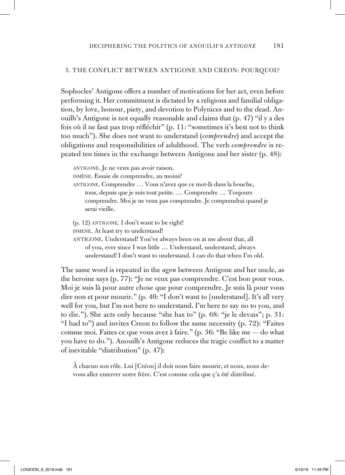### 5. The conflict between Antigone and Creon: Pourquoi?

Sophocles' Antigone offers a number of motivations for her act, even before performing it. Her commitment is dictated by a religious and familial obligation, by love, honour, piety, and devotion to Polynices and to the dead. Anouilh's Antigone is not equally reasonable and claims that (p. 47) "il y a des fois où il ne faut pas trop réfléchir" (p. 11: "sometimes it's best not to think too much"). She does not want to understand (*comprendre*) and accept the obligations and responsibilities of adulthood. The verb *comprendre* is repeated ten times in the exchange between Antigone and her sister (p. 48):

antigone. Je ne veux pas avoir raison. ismène. Essaie de comprendre, au moins! antigone. Comprendre … Vous n'avez que ce mot-là dans la bouche, tous, depuis que je suis tout petite. … Comprendre … Toujours comprendre. Moi je ne veux pas comprendre. Je comprendrai quand je serai vieille.  $(p. 12)$  ANTIGONE. I don't want to be right!

ismene. At least try to understand!

antigone. Understand! You've always been on at me about that, all of you, ever since I was little … Understand, understand, always understand! I don't want to understand. I can do that when I'm old.

The same word is repeated in the *agon* between Antigone and her uncle, as the heroine says (p. 77): "Je ne veux pas comprendre. C'est bon pour vous. Moi je suis là pour autre chose que pour comprendre. Je suis là pour vous dire non et pour mourir." (p. 40: "I don't want to [understand]. It's all very well for you, but I'm not here to understand. I'm here to say no to you, and to die."). She acts only because "she has to" (p. 68: "je le devais"; p. 31: "I had to") and invites Creon to follow the same necessity (p. 72): "Faites comme moi. Faites ce que vous avez à faire." (p. 36: "Be like me — do what you have to do."). Anouilh's Antigone reduces the tragic conflict to a matter of inevitable "distribution" (p. 47):

À chacun son rôle. Lui [Créon] il doit nous faire mourir, et nous, nous devons aller enterrer notre frère. C'est comme cela que ç'a été distribué.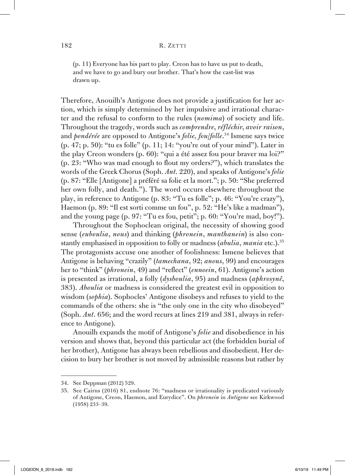(p. 11) Everyone has his part to play. Creon has to have us put to death, and we have to go and bury our brother. That's how the cast-list was drawn up.

Therefore, Anouilh's Antigone does not provide a justification for her action, which is simply determined by her impulsive and irrational character and the refusal to conform to the rules (*nomima*) of society and life. Throughout the tragedy, words such as *comprendre*, *réfléchir*, *avoir raison*, and *pondérée* are opposed to Antigone's *folie, fou*/*folle*. <sup>34</sup> Ismene says twice (p. 47; p. 50): "tu es folle" (p. 11; 14: "you're out of your mind"). Later in the play Creon wonders (p. 60): "qui a été assez fou pour braver ma loi?" (p. 23: "Who was mad enough to flout my orders?"), which translates the words of the Greek Chorus (Soph. *Ant*. 220), and speaks of Antigone's *folie* (p. 87: "Elle [Antigone] a préféré sa folie et la mort."; p. 50: "She preferred her own folly, and death."). The word occurs elsewhere throughout the play, in reference to Antigone (p. 83: "Tu es folle"; p. 46: "You're crazy"), Haemon (p. 89: "Il est sorti comme un fou", p. 52: "He's like a madman"), and the young page (p. 97: "Tu es fou, petit"; p. 60: "You're mad, boy!").

Throughout the Sophoclean original, the necessity of showing good sense (*euboulia*, *nous*) and thinking (*phronein*, *manthanein*) is also constantly emphasised in opposition to folly or madness (*abulia*, *mania* etc.).<sup>35</sup> The protagonists accuse one another of foolishness: Ismene believes that Antigone is behaving "crazily" (*tamechana*, 92; *anous*, 99) and encourages her to "think" (*phronein*, 49) and "reflect" (*ennoein*, 61). Antigone's action is presented as irrational, a folly (*dysboulia*, 95) and madness (*aphrosynê*, 383). *Aboulia* or madness is considered the greatest evil in opposition to wisdom (*sophia*). Sophocles' Antigone disobeys and refuses to yield to the commands of the others: she is "the only one in the city who disobeyed" (Soph. *Ant*. 656; and the word recurs at lines 219 and 381, always in reference to Antigone).

Anouilh expands the motif of Antigone's *folie* and disobedience in his version and shows that, beyond this particular act (the forbidden burial of her brother), Antigone has always been rebellious and disobedient. Her decision to bury her brother is not moved by admissible reasons but rather by

<sup>34.</sup> See Deppman (2012) 529.

<sup>35.</sup> See Cairns (2016) 81, endnote 76: "madness or irrationality is predicated variously of Antigone, Creon, Haemon, and Eurydice". On *phronein* in *Antigone* see Kirkwood (1958) 233–39.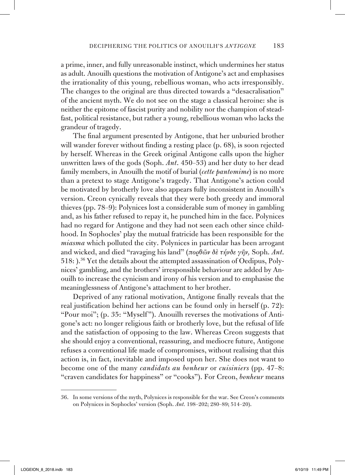a prime, inner, and fully unreasonable instinct, which undermines her status as adult. Anouilh questions the motivation of Antigone's act and emphasises the irrationality of this young, rebellious woman, who acts irresponsibly. The changes to the original are thus directed towards a "desacralisation" of the ancient myth. We do not see on the stage a classical heroine: she is neither the epitome of fascist purity and nobility nor the champion of steadfast, political resistance, but rather a young, rebellious woman who lacks the grandeur of tragedy.

The final argument presented by Antigone, that her unburied brother will wander forever without finding a resting place (p. 68), is soon rejected by herself. Whereas in the Greek original Antigone calls upon the higher unwritten laws of the gods (Soph. *Ant*. 450–53) and her duty to her dead family members, in Anouilh the motif of burial (*cette pantomime*) is no more than a pretext to stage Antigone's tragedy. That Antigone's action could be motivated by brotherly love also appears fully inconsistent in Anouilh's version. Creon cynically reveals that they were both greedy and immoral thieves (pp. 78–9): Polynices lost a considerable sum of money in gambling and, as his father refused to repay it, he punched him in the face. Polynices had no regard for Antigone and they had not seen each other since childhood. In Sophocles' play the mutual fratricide has been responsible for the *miasma* which polluted the city. Polynices in particular has been arrogant and wicked, and died "ravaging his land" (*πορθῶν δὲ τήνδε γῆν,* Soph. *Ant*. 518: ).36 Yet the details about the attempted assassination of Oedipus, Polynices' gambling, and the brothers' irresponsible behaviour are added by Anouilh to increase the cynicism and irony of his version and to emphasise the meaninglessness of Antigone's attachment to her brother.

Deprived of any rational motivation, Antigone finally reveals that the real justification behind her actions can be found only in herself (p. 72): "Pour moi"; (p. 35: "Myself "). Anouilh reverses the motivations of Antigone's act: no longer religious faith or brotherly love, but the refusal of life and the satisfaction of opposing to the law. Whereas Creon suggests that she should enjoy a conventional, reassuring, and mediocre future, Antigone refuses a conventional life made of compromises, without realising that this action is, in fact, inevitable and imposed upon her. She does not want to become one of the many *candidats au bonheur* or *cuisiniers* (pp. 47–8: "craven candidates for happiness" or "cooks"). For Creon, *bonheur* means

<sup>36.</sup> In some versions of the myth, Polynices is responsible for the war. See Creon's comments on Polynices in Sophocles' version (Soph. *Ant.* 198–202; 280–89; 514–20).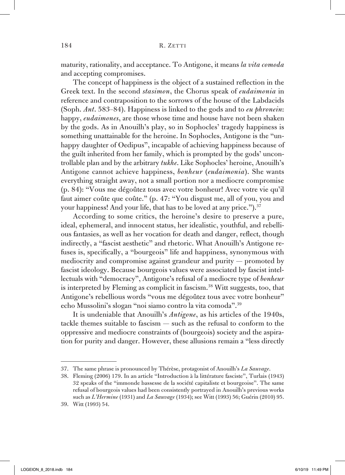maturity, rationality, and acceptance. To Antigone, it means *la vita comoda* and accepting compromises.

The concept of happiness is the object of a sustained reflection in the Greek text. In the second *stasimon*, the Chorus speak of *eudaimonia* in reference and contraposition to the sorrows of the house of the Labdacids (Soph. *Ant*. 583–84). Happiness is linked to the gods and to *eu phronein*: happy, *eudaimones*, are those whose time and house have not been shaken by the gods. As in Anouilh's play, so in Sophocles' tragedy happiness is something unattainable for the heroine. In Sophocles, Antigone is the "unhappy daughter of Oedipus", incapable of achieving happiness because of the guilt inherited from her family, which is prompted by the gods' uncontrollable plan and by the arbitrary *tukhe*. Like Sophocles' heroine, Anouilh's Antigone cannot achieve happiness, *bonheur* (*eudaimonia*). She wants everything straight away, not a small portion nor a mediocre compromise (p. 84): "Vous me dégoûtez tous avec votre bonheur! Avec votre vie qu'il faut aimer coûte que coûte." (p. 47: "You disgust me, all of you, you and your happiness! And your life, that has to be loved at any price.").<sup>37</sup>

According to some critics, the heroine's desire to preserve a pure, ideal, ephemeral, and innocent status, her idealistic, youthful, and rebellious fantasies, as well as her vocation for death and danger, reflect, though indirectly, a "fascist aesthetic" and rhetoric. What Anouilh's Antigone refuses is, specifically, a "bourgeois" life and happiness, synonymous with mediocrity and compromise against grandeur and purity — promoted by fascist ideology. Because bourgeois values were associated by fascist intellectuals with "democracy", Antigone's refusal of a mediocre type of *bonheur* is interpreted by Fleming as complicit in fascism.<sup>38</sup> Witt suggests, too, that Antigone's rebellious words "vous me dégoûtez tous avec votre bonheur" echo Mussolini's slogan "noi siamo contro la vita comoda".<sup>39</sup>

It is undeniable that Anouilh's *Antigone*, as his articles of the 1940s, tackle themes suitable to fascism — such as the refusal to conform to the oppressive and mediocre constraints of (bourgeois) society and the aspiration for purity and danger. However, these allusions remain a "less directly

<sup>37.</sup> The same phrase is pronounced by Thérèse, protagonist of Anouilh's *La Sauvage*.

<sup>38.</sup> Fleming (2006) 179. In an article "Introduction à la littérature fasciste", Turlais (1943) 32 speaks of the "immonde bassesse de la société capitaliste et bourgeoise". The same refusal of bourgeois values had been consistently portrayed in Anouilh's previous works such as *L'Hermine* (1931) and *La Sauvage* (1934); see Witt (1993) 56; Guérin (2010) 95.

<sup>39.</sup> Witt (1993) 54.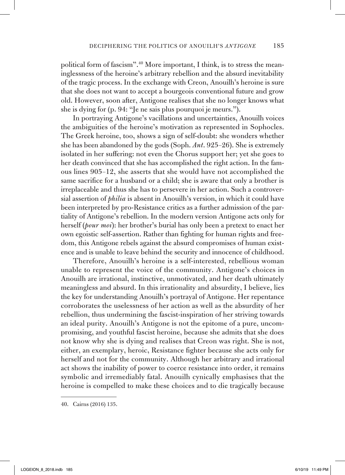political form of fascism".40 More important, I think, is to stress the meaninglessness of the heroine's arbitrary rebellion and the absurd inevitability of the tragic process. In the exchange with Creon, Anouilh's heroine is sure that she does not want to accept a bourgeois conventional future and grow old. However, soon after, Antigone realises that she no longer knows what she is dying for (p. 94: "Je ne sais plus pourquoi je meurs.").

In portraying Antigone's vacillations and uncertainties, Anouilh voices the ambiguities of the heroine's motivation as represented in Sophocles. The Greek heroine, too, shows a sign of self-doubt: she wonders whether she has been abandoned by the gods (Soph. *Ant*. 925–26). She is extremely isolated in her suffering: not even the Chorus support her; yet she goes to her death convinced that she has accomplished the right action. In the famous lines 905–12, she asserts that she would have not accomplished the same sacrifice for a husband or a child; she is aware that only a brother is irreplaceable and thus she has to persevere in her action. Such a controversial assertion of *philia* is absent in Anouilh's version, in which it could have been interpreted by pro-Resistance critics as a further admission of the partiality of Antigone's rebellion. In the modern version Antigone acts only for herself (*pour moi*): her brother's burial has only been a pretext to enact her own egoistic self-assertion. Rather than fighting for human rights and freedom, this Antigone rebels against the absurd compromises of human existence and is unable to leave behind the security and innocence of childhood.

Therefore, Anouilh's heroine is a self-interested, rebellious woman unable to represent the voice of the community. Antigone's choices in Anouilh are irrational, instinctive, unmotivated, and her death ultimately meaningless and absurd. In this irrationality and absurdity, I believe, lies the key for understanding Anouilh's portrayal of Antigone. Her repentance corroborates the uselessness of her action as well as the absurdity of her rebellion, thus undermining the fascist-inspiration of her striving towards an ideal purity. Anouilh's Antigone is not the epitome of a pure, uncompromising, and youthful fascist heroine, because she admits that she does not know why she is dying and realises that Creon was right. She is not, either, an exemplary, heroic, Resistance fighter because she acts only for herself and not for the community. Although her arbitrary and irrational act shows the inability of power to coerce resistance into order, it remains symbolic and irremediably fatal. Anouilh cynically emphasises that the heroine is compelled to make these choices and to die tragically because

<sup>40.</sup> Cairns (2016) 135.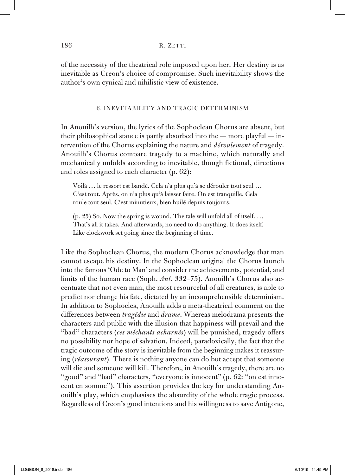of the necessity of the theatrical role imposed upon her. Her destiny is as inevitable as Creon's choice of compromise. Such inevitability shows the author's own cynical and nihilistic view of existence.

#### 6. Inevitability and tragic determinism

In Anouilh's version, the lyrics of the Sophoclean Chorus are absent, but their philosophical stance is partly absorbed into the — more playful — intervention of the Chorus explaining the nature and *déroulement* of tragedy. Anouilh's Chorus compare tragedy to a machine, which naturally and mechanically unfolds according to inevitable, though fictional, directions and roles assigned to each character (p. 62):

Voilà … le ressort est bandé. Cela n'a plus qu'à se dérouler tout seul … C'est tout. Après, on n'a plus qu'à laisser faire. On est tranquille. Cela roule tout seul. C'est minutieux, bien huilé depuis toujours.

(p. 25) So. Now the spring is wound. The tale will unfold all of itself. … That's all it takes. And afterwards, no need to do anything. It does itself. Like clockwork set going since the beginning of time.

Like the Sophoclean Chorus, the modern Chorus acknowledge that man cannot escape his destiny. In the Sophoclean original the Chorus launch into the famous 'Ode to Man' and consider the achievements, potential, and limits of the human race (Soph. *Ant*. 332–75). Anouilh's Chorus also accentuate that not even man, the most resourceful of all creatures, is able to predict nor change his fate, dictated by an incomprehensible determinism. In addition to Sophocles, Anouilh adds a meta-theatrical comment on the differences between *tragédie* and *drame*. Whereas melodrama presents the characters and public with the illusion that happiness will prevail and the "bad" characters (*ces méchants acharnés*) will be punished, tragedy offers no possibility nor hope of salvation. Indeed, paradoxically, the fact that the tragic outcome of the story is inevitable from the beginning makes it reassuring (*réassurant*). There is nothing anyone can do but accept that someone will die and someone will kill. Therefore, in Anouilh's tragedy, there are no "good" and "bad" characters, "everyone is innocent" (p. 62: "on est innocent en somme"). This assertion provides the key for understanding Anouilh's play, which emphasises the absurdity of the whole tragic process. Regardless of Creon's good intentions and his willingness to save Antigone,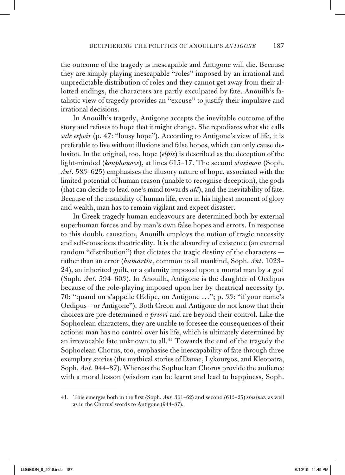the outcome of the tragedy is inescapable and Antigone will die. Because they are simply playing inescapable "roles" imposed by an irrational and unpredictable distribution of roles and they cannot get away from their allotted endings, the characters are partly exculpated by fate. Anouilh's fatalistic view of tragedy provides an "excuse" to justify their impulsive and irrational decisions.

In Anouilh's tragedy, Antigone accepts the inevitable outcome of the story and refuses to hope that it might change. She repudiates what she calls *sale espoir* (p. 47: "lousy hope"). According to Antigone's view of life, it is preferable to live without illusions and false hopes, which can only cause delusion. In the original, too, hope (*elpis*) is described as the deception of the light-minded (*kouphonoos*), at lines 615–17. The second *stasimon* (Soph. *Ant*. 583–625) emphasises the illusory nature of hope, associated with the limited potential of human reason (unable to recognise deception), the gods (that can decide to lead one's mind towards *atê*), and the inevitability of fate. Because of the instability of human life, even in his highest moment of glory and wealth, man has to remain vigilant and expect disaster.

In Greek tragedy human endeavours are determined both by external superhuman forces and by man's own false hopes and errors. In response to this double causation, Anouilh employs the notion of tragic necessity and self-conscious theatricality. It is the absurdity of existence (an external random "distribution") that dictates the tragic destiny of the characters rather than an error (*hamartia*, common to all mankind, Soph. *Ant*. 1023– 24), an inherited guilt, or a calamity imposed upon a mortal man by a god (Soph. *Ant*. 594–603). In Anouilh, Antigone is the daughter of Oedipus because of the role-playing imposed upon her by theatrical necessity (p. 70: "quand on s'appelle Œdipe, ou Antigone …"; p. 33: "if your name's Oedipus – or Antigone"). Both Creon and Antigone do not know that their choices are pre-determined *a priori* and are beyond their control. Like the Sophoclean characters, they are unable to foresee the consequences of their actions: man has no control over his life, which is ultimately determined by an irrevocable fate unknown to all.41 Towards the end of the tragedy the Sophoclean Chorus, too, emphasise the inescapability of fate through three exemplary stories (the mythical stories of Danae, Lykourgos, and Kleopatra, Soph. *Ant*. 944–87). Whereas the Sophoclean Chorus provide the audience with a moral lesson (wisdom can be learnt and lead to happiness, Soph.

<sup>41.</sup> This emerges both in the first (Soph. *Ant.* 361–62) and second (613–25) *stasima*, as well as in the Chorus' words to Antigone (944–87).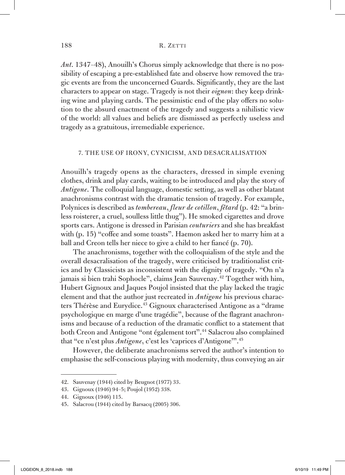*Ant*. 1347–48), Anouilh's Chorus simply acknowledge that there is no possibility of escaping a pre-established fate and observe how removed the tragic events are from the unconcerned Guards. Significantly, they are the last characters to appear on stage. Tragedy is not their *oignon*: they keep drinking wine and playing cards. The pessimistic end of the play offers no solution to the absurd enactment of the tragedy and suggests a nihilistic view of the world: all values and beliefs are dismissed as perfectly useless and tragedy as a gratuitous, irremediable experience.

#### 7. The use of irony, cynicism, and desacralisation

Anouilh's tragedy opens as the characters, dressed in simple evening clothes, drink and play cards, waiting to be introduced and play the story of *Antigone*. The colloquial language, domestic setting, as well as other blatant anachronisms contrast with the dramatic tension of tragedy. For example, Polynices is described as *tombereau*, *fleur de cotillon*, *fêtard* (p. 42: "a brinless roisterer, a cruel, soulless little thug"). He smoked cigarettes and drove sports cars. Antigone is dressed in Parisian *couturiers* and she has breakfast with (p. 15) "coffee and some toasts". Haemon asked her to marry him at a ball and Creon tells her niece to give a child to her fiancé (p. 70).

The anachronisms, together with the colloquialism of the style and the overall desacralisation of the tragedy, were criticised by traditionalist critics and by Classicists as inconsistent with the dignity of tragedy. "On n'a jamais si bien trahi Sophocle", claims Jean Sauvenay.42 Together with him, Hubert Gignoux and Jaques Poujol insisted that the play lacked the tragic element and that the author just recreated in *Antigone* his previous characters Thérèse and Eurydice.<sup>43</sup> Gignoux characterised Antigone as a "drame psychologique en marge d'une tragédie", because of the flagrant anachronisms and because of a reduction of the dramatic conflict to a statement that both Creon and Antigone "ont également tort".<sup>44</sup> Salacrou also complained that "ce n'est plus *Antigone*, c'est les 'caprices d'Antigone'".45

However, the deliberate anachronisms served the author's intention to emphasise the self-conscious playing with modernity, thus conveying an air

<sup>42.</sup> Sauvenay (1944) cited by Beugnot (1977) 33.

<sup>43.</sup> Gignoux (1946) 94–5; Poujol (1952) 338.

<sup>44.</sup> Gignoux (1946) 115.

<sup>45.</sup> Salacrou (1944) cited by Barsacq (2005) 306.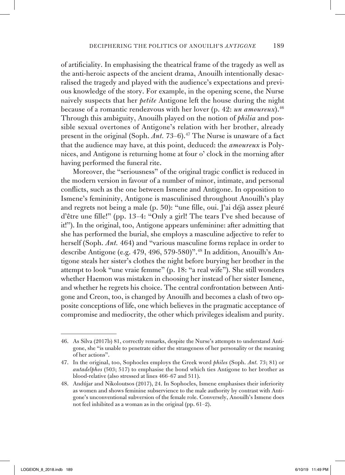of artificiality. In emphasising the theatrical frame of the tragedy as well as the anti-heroic aspects of the ancient drama, Anouilh intentionally desacralised the tragedy and played with the audience's expectations and previous knowledge of the story. For example, in the opening scene, the Nurse naively suspects that her *petite* Antigone left the house during the night because of a romantic rendezvous with her lover (p. 42: *un amoureux*).46 Through this ambiguity, Anouilh played on the notion of *philia* and possible sexual overtones of Antigone's relation with her brother, already present in the original (Soph. *Ant.* 73–6).<sup>47</sup> The Nurse is unaware of a fact that the audience may have, at this point, deduced: the *amoureux* is Polynices, and Antigone is returning home at four o' clock in the morning after having performed the funeral rite.

Moreover, the "seriousness" of the original tragic conflict is reduced in the modern version in favour of a number of minor, intimate, and personal conflicts, such as the one between Ismene and Antigone. In opposition to Ismene's femininity, Antigone is masculinised throughout Anouilh's play and regrets not being a male (p. 50): "une fille, oui. J'ai déjà assez pleuré d'être une fille!" (pp. 13–4: "Only a girl! The tears I've shed because of it!"). In the original, too, Antigone appears unfeminine: after admitting that she has performed the burial, she employs a masculine adjective to refer to herself (Soph. *Ant.* 464) and "various masculine forms replace in order to describe Antigone (e.g. 479, 496, 579-580)".<sup>48</sup> In addition, Anouilh's Antigone steals her sister's clothes the night before burying her brother in the attempt to look "une vraie femme" (p. 18: "a real wife"). She still wonders whether Haemon was mistaken in choosing her instead of her sister Ismene, and whether he regrets his choice. The central confrontation between Antigone and Creon, too, is changed by Anouilh and becomes a clash of two opposite conceptions of life, one which believes in the pragmatic acceptance of compromise and mediocrity, the other which privileges idealism and purity.

<sup>46.</sup> As Silva (2017b) 81, correctly remarks, despite the Nurse's attempts to understand Antigone, she "is unable to penetrate either the strangeness of her personality or the meaning of her actions".

<sup>47.</sup> In the original, too, Sophocles employs the Greek word *philos* (Soph. *Ant.* 73; 81) or *autadelphos* (503; 517) to emphasise the bond which ties Antigone to her brother as blood-relative (also stressed at lines 466–67 and 511).

<sup>48.</sup> Andújar and Nikoloutsos (2017), 24. In Sophocles, Ismene emphasises their inferiority as women and shows feminine subservience to the male authority by contrast with Antigone's unconventional subversion of the female role. Conversely, Anouilh's Ismene does not feel inhibited as a woman as in the original (pp. 61–2).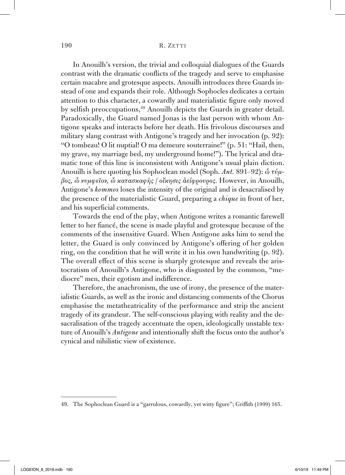In Anouilh's version, the trivial and colloquial dialogues of the Guards contrast with the dramatic conflicts of the tragedy and serve to emphasise certain macabre and grotesque aspects. Anouilh introduces three Guards instead of one and expands their role. Although Sophocles dedicates a certain attention to this character, a cowardly and materialistic figure only moved by selfish preoccupations,<sup>49</sup> Anouilh depicts the Guards in greater detail. Paradoxically, the Guard named Jonas is the last person with whom Antigone speaks and interacts before her death. His frivolous discourses and military slang contrast with Antigone's tragedy and her invocation (p. 92): "O tombeau! O lit nuptial! O ma demeure souterraine!" (p. 51: "Hail, then, my grave, my marriage bed, my underground home!"). The lyrical and dramatic tone of this line is inconsistent with Antigone's usual plain diction. Anouilh is here quoting his Sophoclean model (Soph. *Ant.* 891–92): *ὦ τύμβος, ὦ νυμφεῖον, ὦ κατασκαφὴς* / *οἴκησις ἀείφρουρος.* However, in Anouilh, Antigone's *kommos* loses the intensity of the original and is desacralised by the presence of the materialistic Guard, preparing a *chique* in front of her, and his superficial comments.

Towards the end of the play, when Antigone writes a romantic farewell letter to her fiancé, the scene is made playful and grotesque because of the comments of the insensitive Guard. When Antigone asks him to send the letter, the Guard is only convinced by Antigone's offering of her golden ring, on the condition that he will write it in his own handwriting (p. 92). The overall effect of this scene is sharply grotesque and reveals the aristocratism of Anouilh's Antigone, who is disgusted by the common, "mediocre" men, their egotism and indifference.

Therefore, the anachronism, the use of irony, the presence of the materialistic Guards, as well as the ironic and distancing comments of the Chorus emphasise the metatheatricality of the performance and strip the ancient tragedy of its grandeur. The self-conscious playing with reality and the desacralisation of the tragedy accentuate the open, ideologically unstable texture of Anouilh's *Antigone* and intentionally shift the focus onto the author's cynical and nihilistic view of existence.

<sup>49.</sup> The Sophoclean Guard is a "garrulous, cowardly, yet witty figure"; Griffith (1999) 165.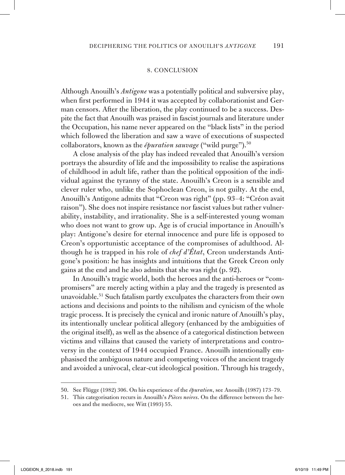#### 8. Conclusion

Although Anouilh's *Antigone* was a potentially political and subversive play, when first performed in 1944 it was accepted by collaborationist and German censors. After the liberation, the play continued to be a success. Despite the fact that Anouilh was praised in fascist journals and literature under the Occupation, his name never appeared on the "black lists" in the period which followed the liberation and saw a wave of executions of suspected collaborators, known as the *épuration sauvage* ("wild purge").<sup>50</sup>

A close analysis of the play has indeed revealed that Anouilh's version portrays the absurdity of life and the impossibility to realise the aspirations of childhood in adult life, rather than the political opposition of the individual against the tyranny of the state. Anouilh's Creon is a sensible and clever ruler who, unlike the Sophoclean Creon, is not guilty. At the end, Anouilh's Antigone admits that "Creon was right" (pp. 93–4: "Créon avait raison"). She does not inspire resistance nor fascist values but rather vulnerability, instability, and irrationality. She is a self-interested young woman who does not want to grow up. Age is of crucial importance in Anouilh's play: Antigone's desire for eternal innocence and pure life is opposed to Creon's opportunistic acceptance of the compromises of adulthood. Although he is trapped in his role of *chef d'État*, Creon understands Antigone's position: he has insights and intuitions that the Greek Creon only gains at the end and he also admits that she was right (p. 92).

In Anouilh's tragic world, both the heroes and the anti-heroes or "compromisers" are merely acting within a play and the tragedy is presented as unavoidable.51 Such fatalism partly exculpates the characters from their own actions and decisions and points to the nihilism and cynicism of the whole tragic process. It is precisely the cynical and ironic nature of Anouilh's play, its intentionally unclear political allegory (enhanced by the ambiguities of the original itself), as well as the absence of a categorical distinction between victims and villains that caused the variety of interpretations and controversy in the context of 1944 occupied France. Anouilh intentionally emphasised the ambiguous nature and competing voices of the ancient tragedy and avoided a univocal, clear-cut ideological position. Through his tragedy,

<sup>50.</sup> See Flügge (1982) 306. On his experience of the *épuration*, see Anouilh (1987) 173–79.

<sup>51.</sup> This categorisation recurs in Anouilh's *Pièces noires*. On the difference between the heroes and the mediocre, see Witt (1993) 55.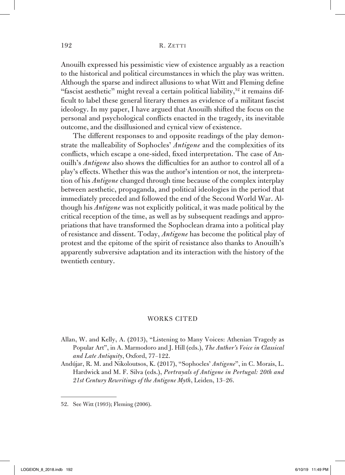Anouilh expressed his pessimistic view of existence arguably as a reaction to the historical and political circumstances in which the play was written. Although the sparse and indirect allusions to what Witt and Fleming define "fascist aesthetic" might reveal a certain political liability,<sup>52</sup> it remains difficult to label these general literary themes as evidence of a militant fascist ideology. In my paper, I have argued that Anouilh shifted the focus on the personal and psychological conflicts enacted in the tragedy, its inevitable outcome, and the disillusioned and cynical view of existence.

The different responses to and opposite readings of the play demonstrate the malleability of Sophocles' *Antigone* and the complexities of its conflicts, which escape a one-sided, fixed interpretation. The case of Anouilh's *Antigone* also shows the difficulties for an author to control all of a play's effects. Whether this was the author's intention or not, the interpretation of his *Antigone* changed through time because of the complex interplay between aesthetic, propaganda, and political ideologies in the period that immediately preceded and followed the end of the Second World War. Although his *Antigone* was not explicitly political, it was made political by the critical reception of the time, as well as by subsequent readings and appropriations that have transformed the Sophoclean drama into a political play of resistance and dissent. Today, *Antigone* has become the political play of protest and the epitome of the spirit of resistance also thanks to Anouilh's apparently subversive adaptation and its interaction with the history of the twentieth century.

#### WORKS CITED

- Allan, W. and Kelly, A. (2013), "Listening to Many Voices: Athenian Tragedy as Popular Art", in A. Marmodoro and J. Hill (eds.), *The Author's Voice in Classical and Late Antiquity*, Oxford, 77–122.
- Andújar, R. M. and Nikoloutsos, K. (2017), "Sophocles' *Antigone*", in C. Morais, L. Hardwick and M. F. Silva (eds.), *Portrayals of Antigone in Portugal: 20th and 21st Century Rewritings of the Antigone Myth*, Leiden, 13–26.

<sup>52.</sup> See Witt (1993); Fleming (2006).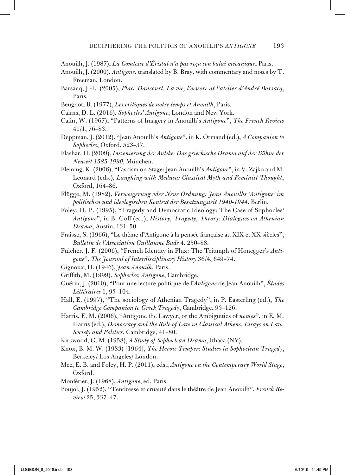- Anouilh, J. (1987), *La Comtesse d'Éristal n'a pas reçu son balai mécanique*, Paris.
- Anouilh, J. (2000), *Antigone*, translated by B. Bray, with commentary and notes by T. Freeman, London.
- Barsacq, J.-L. (2005), *Place Dancourt: La vie, l'oeuvre at l'atelier d'André Barsacq*, Paris.
- Beugnot, B. (1977), *Les critiques de notre temps et Anouilh*, Paris.
- Cairns, D. L. (2016), *Sophocles' Antigone*, London and New York.
- Calin, W. (1967), "Patterns of Imagery in Anouilh's *Antigone*", *The French Review*  41/1, 76–83.
- Deppman, J. (2012), "Jean Anouilh's *Antigone*", in K. Ormand (ed.), *A Companion to Sophocles*, Oxford, 523–37.
- Flashar, H. (2009), *Inszenierung der Antike: Das griechische Drama auf der Bühne der Neuzeit 1585-1990,* München.
- Fleming, K. (2006), "Fascism on Stage: Jean Anouilh's *Antigone*", in V. Zajko and M. Leonard (eds.), *Laughing with Medusa: Classical Myth and Feminist Thought*, Oxford, 164–86.
- Flügge, M. (1982), *Verweigerung oder Neue Ordnung: Jean Anouilhs 'Antigone' im politischen und ideologischen Kontext der Besatzungszeit 1940-1944*, Berlin.
- Foley, H. P. (1995), "Tragedy and Democratic Ideology: The Case of Sophocles' *Antigone*", in B. Goff (ed.), *History, Tragedy, Theory: Dialogues on Athenian Drama*, Austin, 131–50.
- Fraisse, S. (1966), "Le thème d'Antigone à la pensée française au XIX et XX siècles", *Bulletin de l'Association Guillaume Budé* 4, 250–88.
- Fulcher, J. F. (2006), "French Identity in Flux: The Triumph of Honegger's *Antigone*", *The Journal of Interdisciplinary History* 36/4, 649–74.
- Gignoux, H. (1946), *Jean Anouilh*, Paris.
- Griffith, M. (1999), *Sophocles*: *Antigone*, Cambridge.
- Guérin, J. (2010), "Pour une lecture politique de l'*Antigone* de Jean Anouilh", *Études Littéraires* 1, 93–104.
- Hall, E. (1997), "The sociology of Athenian Tragedy", in P. Easterling (ed.), *The Cambridge Companion to Greek Tragedy*, Cambridge, 93–126.
- Harris, E. M. (2006), "Antigone the Lawyer, or the Ambiguities of *nomos*", in E. M. Harris (ed.), *Democracy and the Rule of Law in Classical Athens. Essays on Law, Society and Politics*, Cambridge, 41–80.
- Kirkwood, G. M. (1958), *A Study of Sophoclean Drama*, Ithaca (NY).
- Knox, B. M. W. (1983) [1964], *The Heroic Temper: Studies in Sophoclean Tragedy*, Berkeley/ Los Angeles/ London.
- Mee, E. B. and Foley, H. P. (2011), eds., *Antigone on the Contemporary World Stage*, Oxford.
- Monférier, J. (1968), *Antigone*, ed. Paris.
- Poujol, J. (1952), "Tendresse et cruauté dans le théâtre de Jean Anouilh", *French Review* 25, 337–47.